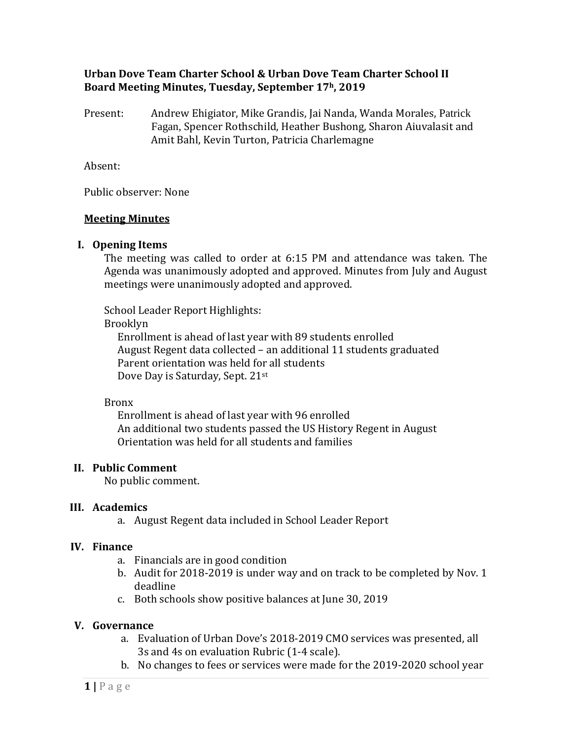#### **Urban Dove Team Charter School & Urban Dove Team Charter School II Board Meeting Minutes, Tuesday, September 17h, 2019**

Present: Andrew Ehigiator, Mike Grandis, Jai Nanda, Wanda Morales, Patrick Fagan, Spencer Rothschild, Heather Bushong, Sharon Aiuvalasit and Amit Bahl, Kevin Turton, Patricia Charlemagne

Absent:

Public observer: None

# **Meeting Minutes**

# **I. Opening Items**

The meeting was called to order at 6:15 PM and attendance was taken. The Agenda was unanimously adopted and approved. Minutes from July and August meetings were unanimously adopted and approved.

School Leader Report Highlights:

#### Brooklyn

Enrollment is ahead of last year with 89 students enrolled August Regent data collected – an additional 11 students graduated Parent orientation was held for all students Dove Day is Saturday, Sept. 21st

# Bronx

Enrollment is ahead of last year with 96 enrolled An additional two students passed the US History Regent in August Orientation was held for all students and families

# **II. Public Comment**

No public comment.

# **III. Academics**

a. August Regent data included in School Leader Report

# **IV. Finance**

- a. Financials are in good condition
- b. Audit for 2018-2019 is under way and on track to be completed by Nov. 1 deadline
- c. Both schools show positive balances at June 30, 2019

# **V. Governance**

- a. Evaluation of Urban Dove's 2018-2019 CMO services was presented, all 3s and 4s on evaluation Rubric (1-4 scale).
- b. No changes to fees or services were made for the 2019-2020 school year